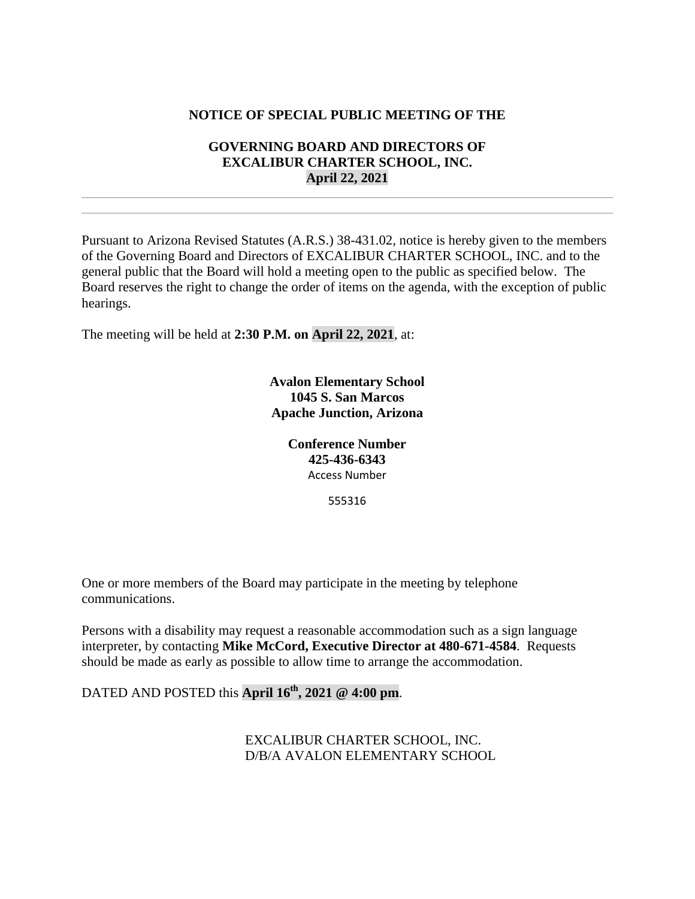## **NOTICE OF SPECIAL PUBLIC MEETING OF THE**

## **GOVERNING BOARD AND DIRECTORS OF EXCALIBUR CHARTER SCHOOL, INC. April 22, 2021**

Pursuant to Arizona Revised Statutes (A.R.S.) 38-431.02, notice is hereby given to the members of the Governing Board and Directors of EXCALIBUR CHARTER SCHOOL, INC. and to the general public that the Board will hold a meeting open to the public as specified below. The Board reserves the right to change the order of items on the agenda, with the exception of public hearings.

The meeting will be held at **2:30 P.M. on April 22, 2021**, at:

**Avalon Elementary School 1045 S. San Marcos Apache Junction, Arizona**

> **Conference Number 425-436-6343** Access Number

> > 555316

One or more members of the Board may participate in the meeting by telephone communications.

Persons with a disability may request a reasonable accommodation such as a sign language interpreter, by contacting **Mike McCord, Executive Director at 480-671-4584**. Requests should be made as early as possible to allow time to arrange the accommodation.

DATED AND POSTED this **April 16th, 2021 @ 4:00 pm**.

EXCALIBUR CHARTER SCHOOL, INC. D/B/A AVALON ELEMENTARY SCHOOL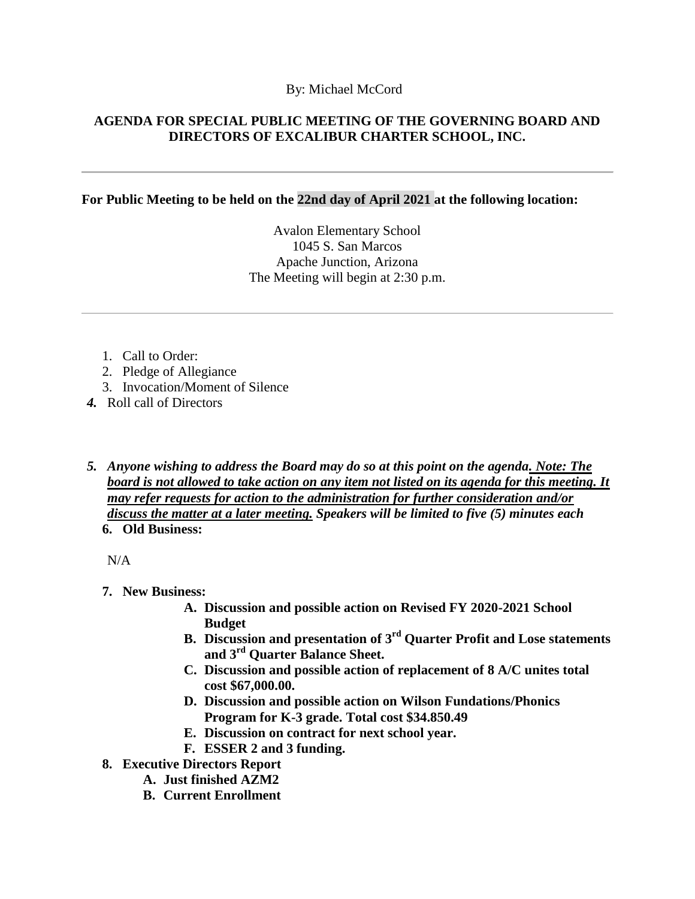### By: Michael McCord

## **AGENDA FOR SPECIAL PUBLIC MEETING OF THE GOVERNING BOARD AND DIRECTORS OF EXCALIBUR CHARTER SCHOOL, INC.**

#### **For Public Meeting to be held on the 22nd day of April 2021 at the following location:**

Avalon Elementary School 1045 S. San Marcos Apache Junction, Arizona The Meeting will begin at 2:30 p.m.

- 1. Call to Order:
- 2. Pledge of Allegiance
- 3. Invocation/Moment of Silence
- *4.* Roll call of Directors
- *5. Anyone wishing to address the Board may do so at this point on the agenda. Note: The board is not allowed to take action on any item not listed on its agenda for this meeting. It may refer requests for action to the administration for further consideration and/or discuss the matter at a later meeting. Speakers will be limited to five (5) minutes each* **6. Old Business:**

N/A

- **7. New Business:**
	- **A. Discussion and possible action on Revised FY 2020-2021 School Budget**
	- **B. Discussion and presentation of 3rd Quarter Profit and Lose statements and 3rd Quarter Balance Sheet.**
	- **C. Discussion and possible action of replacement of 8 A/C unites total cost \$67,000.00.**
	- **D. Discussion and possible action on Wilson Fundations/Phonics Program for K-3 grade. Total cost \$34.850.49**
	- **E. Discussion on contract for next school year.**
	- **F. ESSER 2 and 3 funding.**
- **8. Executive Directors Report**
	- **A. Just finished AZM2**
	- **B. Current Enrollment**